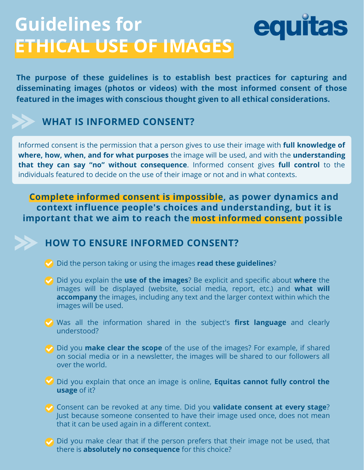# **Guidelines for ETHICAL USE OF IMAGES**

**The purpose of these guidelines is to establish best practices for capturing and disseminating images (photos or videos) with the most informed consent of those featured in the images with conscious thought given to all ethical considerations.**

equitas

## **WHAT IS INFORMED CONSENT?**

Informed consent is the permission that a person gives to use their image with **full knowledge of where, how, when, and for what purposes** the image will be used, and with the **understanding that they can say "no" without consequence**. Informed consent gives **full control** to the individuals featured to decide on the use of their image or not and in what contexts.

**Complete informed consent is impossible, as power dynamics and context influence people's choices and understanding, but it is important that we aim to reach the most informed consent possible**



#### **HOW TO ENSURE INFORMED CONSENT?**

- Did the person taking or using the images **read these guidelines**?
- Did you explain the **use of the images**? Be explicit and specific about **where** the images will be displayed (website, social media, report, etc.) and **what will accompany** the images, including any text and the larger context within which the images will be used.
- Was all the information shared in the subject's **first language** and clearly understood?
- Did you **make clear the scope** of the use of the images? For example, if shared on social media or in a newsletter, the images will be shared to our followers all over the world.
- Did you explain that once an image is online, **Equitas cannot fully control the usage** of it?
- Consent can be revoked at any time. Did you **validate consent at every stage**? Just because someone consented to have their image used once, does not mean that it can be used again in a different context.
- Did you make clear that if the person prefers that their image not be used, that there is **absolutely no consequence** for this choice?